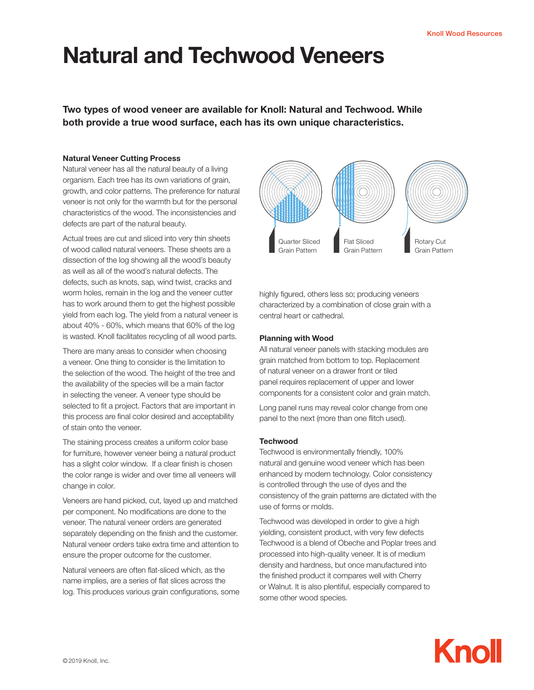# Natural and Techwood Veneers

Two types of wood veneer are available for Knoll: Natural and Techwood. While both provide a true wood surface, each has its own unique characteristics.

## Natural Veneer Cutting Process

Natural veneer has all the natural beauty of a living organism. Each tree has its own variations of grain, growth, and color patterns. The preference for natural veneer is not only for the warmth but for the personal characteristics of the wood. The inconsistencies and defects are part of the natural beauty.

Actual trees are cut and sliced into very thin sheets of wood called natural veneers. These sheets are a dissection of the log showing all the wood's beauty as well as all of the wood's natural defects. The defects, such as knots, sap, wind twist, cracks and worm holes, remain in the log and the veneer cutter has to work around them to get the highest possible yield from each log. The yield from a natural veneer is about 40% - 60%, which means that 60% of the log is wasted. Knoll facilitates recycling of all wood parts.

There are many areas to consider when choosing a veneer. One thing to consider is the limitation to the selection of the wood. The height of the tree and the availability of the species will be a main factor in selecting the veneer. A veneer type should be selected to fit a project. Factors that are important in this process are final color desired and acceptability of stain onto the veneer.

The staining process creates a uniform color base for furniture, however veneer being a natural product has a slight color window. If a clear finish is chosen the color range is wider and over time all veneers will change in color.

Veneers are hand picked, cut, layed up and matched per component. No modifications are done to the veneer. The natural veneer orders are generated separately depending on the finish and the customer. Natural veneer orders take extra time and attention to ensure the proper outcome for the customer.

Natural veneers are often flat-sliced which, as the name implies, are a series of flat slices across the log. This produces various grain configurations, some



highly figured, others less so; producing veneers characterized by a combination of close grain with a central heart or cathedral.

# Planning with Wood

All natural veneer panels with stacking modules are grain matched from bottom to top. Replacement of natural veneer on a drawer front or tiled panel requires replacement of upper and lower components for a consistent color and grain match.

Long panel runs may reveal color change from one panel to the next (more than one flitch used).

## **Techwood**

Techwood is environmentally friendly, 100% natural and genuine wood veneer which has been enhanced by modern technology. Color consistency is controlled through the use of dyes and the consistency of the grain patterns are dictated with the use of forms or molds.

Techwood was developed in order to give a high yielding, consistent product, with very few defects Techwood is a blend of Obeche and Poplar trees and processed into high-quality veneer. It is of medium density and hardness, but once manufactured into the finished product it compares well with Cherry or Walnut. It is also plentiful, especially compared to some other wood species.

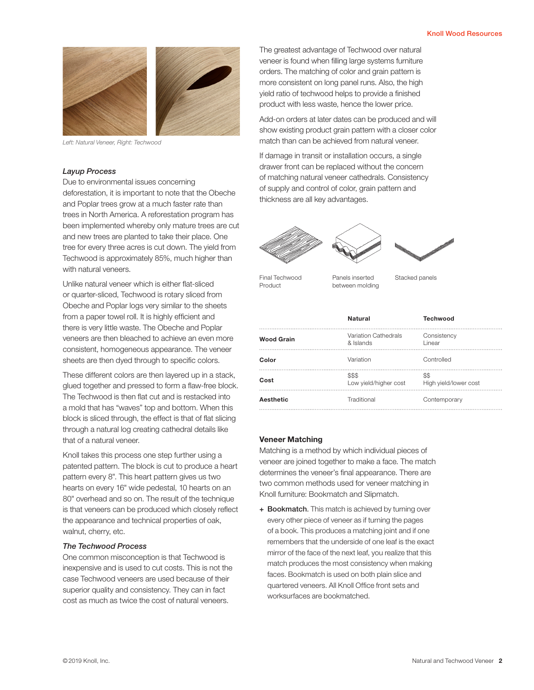

*Left: Natural Veneer, Right: Techwood*

#### *Layup Process*

Due to environmental issues concerning deforestation, it is important to note that the Obeche and Poplar trees grow at a much faster rate than trees in North America. A reforestation program has been implemented whereby only mature trees are cut and new trees are planted to take their place. One tree for every three acres is cut down. The yield from Techwood is approximately 85%, much higher than with natural veneers.

Unlike natural veneer which is either flat-sliced or quarter-sliced, Techwood is rotary sliced from Obeche and Poplar logs very similar to the sheets from a paper towel roll. It is highly efficient and there is very little waste. The Obeche and Poplar veneers are then bleached to achieve an even more consistent, homogeneous appearance. The veneer sheets are then dyed through to specific colors.

These different colors are then layered up in a stack, glued together and pressed to form a flaw-free block. The Techwood is then flat cut and is restacked into a mold that has "waves" top and bottom. When this block is sliced through, the effect is that of flat slicing through a natural log creating cathedral details like that of a natural veneer.

Knoll takes this process one step further using a patented pattern. The block is cut to produce a heart pattern every 8". This heart pattern gives us two hearts on every 16" wide pedestal, 10 hearts on an 80" overhead and so on. The result of the technique is that veneers can be produced which closely reflect the appearance and technical properties of oak, walnut, cherry, etc.

#### *The Techwood Process*

One common misconception is that Techwood is inexpensive and is used to cut costs. This is not the case Techwood veneers are used because of their superior quality and consistency. They can in fact cost as much as twice the cost of natural veneers.

The greatest advantage of Techwood over natural veneer is found when filling large systems furniture orders. The matching of color and grain pattern is more consistent on long panel runs. Also, the high yield ratio of techwood helps to provide a finished product with less waste, hence the lower price.

Add-on orders at later dates can be produced and will show existing product grain pattern with a closer color match than can be achieved from natural veneer.

If damage in transit or installation occurs, a single drawer front can be replaced without the concern of matching natural veneer cathedrals. Consistency of supply and control of color, grain pattern and thickness are all key advantages.





Final Techwood **Panels** inserted Stacked panels Product

Panels inserted between molding

|                   | <b>Natural</b>                    | <b>Techwood</b>               |
|-------------------|-----------------------------------|-------------------------------|
| <b>Wood Grain</b> | Variation Cathedrals<br>& Islands | Consistency<br>Linear         |
| Color             | Variation                         | Controlled                    |
| Cost              | \$\$\$<br>Low yield/higher cost   | \$\$<br>High yield/lower cost |
| Aesthetic         | Traditional                       | Contemporary                  |

#### Veneer Matching

Matching is a method by which individual pieces of veneer are joined together to make a face. The match determines the veneer's final appearance. There are two common methods used for veneer matching in Knoll furniture: Bookmatch and Slipmatch.

+ Bookmatch. This match is achieved by turning over every other piece of veneer as if turning the pages of a book. This produces a matching joint and if one remembers that the underside of one leaf is the exact mirror of the face of the next leaf, you realize that this match produces the most consistency when making faces. Bookmatch is used on both plain slice and quartered veneers. All Knoll Office front sets and worksurfaces are bookmatched.